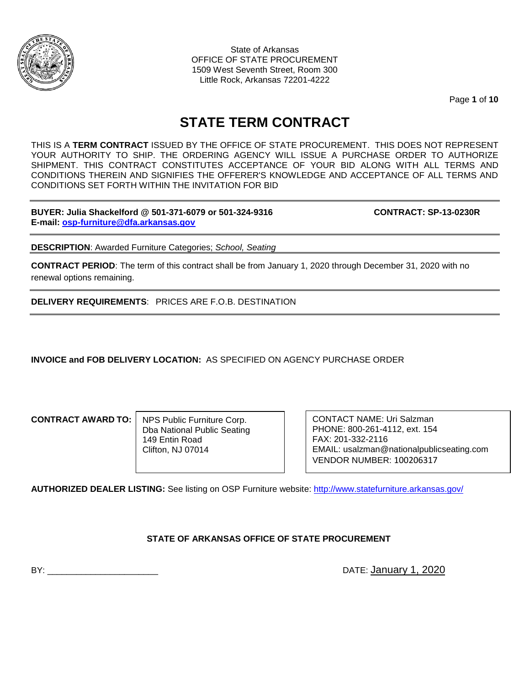

State of Arkansas OFFICE OF STATE PROCUREMENT 1509 West Seventh Street, Room 300 Little Rock, Arkansas 72201-4222

Page **1** of **10**

# **STATE TERM CONTRACT**

THIS IS A **TERM CONTRACT** ISSUED BY THE OFFICE OF STATE PROCUREMENT. THIS DOES NOT REPRESENT YOUR AUTHORITY TO SHIP. THE ORDERING AGENCY WILL ISSUE A PURCHASE ORDER TO AUTHORIZE SHIPMENT. THIS CONTRACT CONSTITUTES ACCEPTANCE OF YOUR BID ALONG WITH ALL TERMS AND CONDITIONS THEREIN AND SIGNIFIES THE OFFERER'S KNOWLEDGE AND ACCEPTANCE OF ALL TERMS AND CONDITIONS SET FORTH WITHIN THE INVITATION FOR BID

**BUYER: Julia Shackelford @ 501-371-6079 or 501-324-9316 CONTRACT: SP-13-0230R E-mail: [osp-furniture@dfa.arkansas.gov](mailto:osp-furniture@dfa.arkansas.gov)**

**DESCRIPTION**: Awarded Furniture Categories; *School, Seating*

**CONTRACT PERIOD**: The term of this contract shall be from January 1, 2020 through December 31, 2020 with no renewal options remaining.

**DELIVERY REQUIREMENTS**: PRICES ARE F.O.B. DESTINATION

**INVOICE and FOB DELIVERY LOCATION:** AS SPECIFIED ON AGENCY PURCHASE ORDER

**CONTRACT AWARD TO:**

NPS Public Furniture Corp. Dba National Public Seating 149 Entin Road Clifton, NJ 07014

CONTACT NAME: Uri Salzman PHONE: 800-261-4112, ext. 154 FAX: 201-332-2116 EMAIL: usalzman@nationalpublicseating.com VENDOR NUMBER: 100206317

**AUTHORIZED DEALER LISTING:** See listing on OSP Furniture website:<http://www.statefurniture.arkansas.gov/>

## **STATE OF ARKANSAS OFFICE OF STATE PROCUREMENT**

BY: **EXECUTE:** January 1, 2020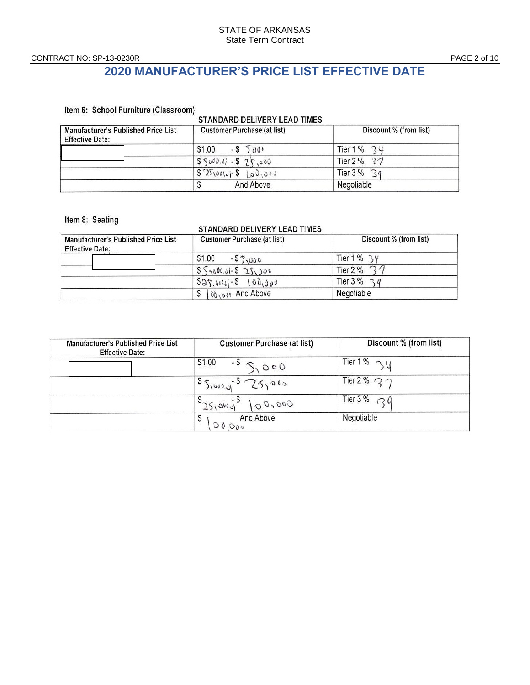CONTRACT NO: SP-13-0230R PAGE 2 of 10

## **2020 MANUFACTURER'S PRICE LIST EFFECTIVE DATE**

Item 6: School Furniture (Classroom)

## STANDARD DELIVERY LEAD TIMES

| Manufacturer's Published Price List<br><b>Effective Date:</b> | <b>Customer Purchase (at list)</b> | Discount % (from list) |
|---------------------------------------------------------------|------------------------------------|------------------------|
|                                                               | $$1.00 - $500$                     | Tier 1 % $34$          |
|                                                               | $S\ S000.01 - S25.000$             | Tier $2\%$ 37          |
|                                                               | $52500000 - 5103000$               | Tier $3\%$ 39          |
|                                                               | And Above                          | Negotiable             |

#### Item 8: Seating

#### STANDARD DELIVERY LEAD TIMES

| Manufacturer's Published Price List<br><b>Effective Date:</b> | <b>Customer Purchase (at list)</b> | Discount % (from list)    |
|---------------------------------------------------------------|------------------------------------|---------------------------|
|                                                               | \$1.00<br>$-55,000$                | Tier $1\%$ 34             |
|                                                               | $55000.01 - 525000$                | Tier 2 %                  |
|                                                               | $525, 041 - 5$ $100, 000$          | Tier $3\%$ $\frac{1}{3}q$ |
|                                                               | 00 001 And Above                   | Negotiable                |

| Manufacturer's Published Price List<br><b>Effective Date:</b> | Customer Purchase (at list) | Discount % (from list)      |
|---------------------------------------------------------------|-----------------------------|-----------------------------|
|                                                               | $1^{51.00}$ - $5$ $5.000$   | Tier 1% $\gamma$ U          |
|                                                               | $55,0000 - 525000$          | Tier 2 % $\sim$ $\gamma$    |
|                                                               | 00,000<br>325,900,01        | Tier 3% $\bigcap$ $\bigcap$ |
|                                                               | And Above<br>S<br>00,000    | Negotiable                  |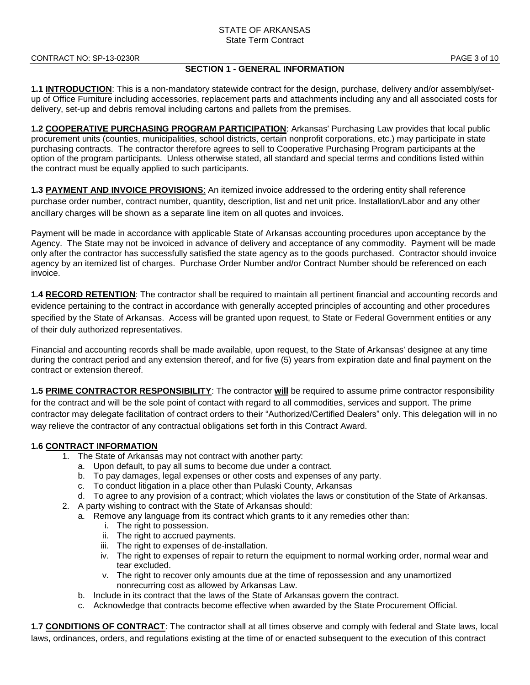## **SECTION 1 - GENERAL INFORMATION**

**1.1 INTRODUCTION**: This is a non-mandatory statewide contract for the design, purchase, delivery and/or assembly/setup of Office Furniture including accessories, replacement parts and attachments including any and all associated costs for delivery, set-up and debris removal including cartons and pallets from the premises.

**1.2 COOPERATIVE PURCHASING PROGRAM PARTICIPATION**: Arkansas' Purchasing Law provides that local public procurement units (counties, municipalities, school districts, certain nonprofit corporations, etc.) may participate in state purchasing contracts. The contractor therefore agrees to sell to Cooperative Purchasing Program participants at the option of the program participants. Unless otherwise stated, all standard and special terms and conditions listed within the contract must be equally applied to such participants.

**1.3 PAYMENT AND INVOICE PROVISIONS**: An itemized invoice addressed to the ordering entity shall reference purchase order number, contract number, quantity, description, list and net unit price. Installation/Labor and any other ancillary charges will be shown as a separate line item on all quotes and invoices.

Payment will be made in accordance with applicable State of Arkansas accounting procedures upon acceptance by the Agency. The State may not be invoiced in advance of delivery and acceptance of any commodity. Payment will be made only after the contractor has successfully satisfied the state agency as to the goods purchased. Contractor should invoice agency by an itemized list of charges. Purchase Order Number and/or Contract Number should be referenced on each invoice.

**1.4 RECORD RETENTION**: The contractor shall be required to maintain all pertinent financial and accounting records and evidence pertaining to the contract in accordance with generally accepted principles of accounting and other procedures specified by the State of Arkansas. Access will be granted upon request, to State or Federal Government entities or any of their duly authorized representatives.

Financial and accounting records shall be made available, upon request, to the State of Arkansas' designee at any time during the contract period and any extension thereof, and for five (5) years from expiration date and final payment on the contract or extension thereof.

**1.5 PRIME CONTRACTOR RESPONSIBILITY**: The contractor **will** be required to assume prime contractor responsibility for the contract and will be the sole point of contact with regard to all commodities, services and support. The prime contractor may delegate facilitation of contract orders to their "Authorized/Certified Dealers" only. This delegation will in no way relieve the contractor of any contractual obligations set forth in this Contract Award.

## **1.6 CONTRACT INFORMATION**

- 1. The State of Arkansas may not contract with another party:
	- a. Upon default, to pay all sums to become due under a contract.
	- b. To pay damages, legal expenses or other costs and expenses of any party.
	- c. To conduct litigation in a place other than Pulaski County, Arkansas
	- d. To agree to any provision of a contract; which violates the laws or constitution of the State of Arkansas.
- 2. A party wishing to contract with the State of Arkansas should:
	- a. Remove any language from its contract which grants to it any remedies other than:
		- i. The right to possession.
		- ii. The right to accrued payments.
		- iii. The right to expenses of de-installation.
		- iv. The right to expenses of repair to return the equipment to normal working order, normal wear and tear excluded.
		- v. The right to recover only amounts due at the time of repossession and any unamortized nonrecurring cost as allowed by Arkansas Law.
	- b. Include in its contract that the laws of the State of Arkansas govern the contract.
	- c. Acknowledge that contracts become effective when awarded by the State Procurement Official.

**1.7 CONDITIONS OF CONTRACT**: The contractor shall at all times observe and comply with federal and State laws, local laws, ordinances, orders, and regulations existing at the time of or enacted subsequent to the execution of this contract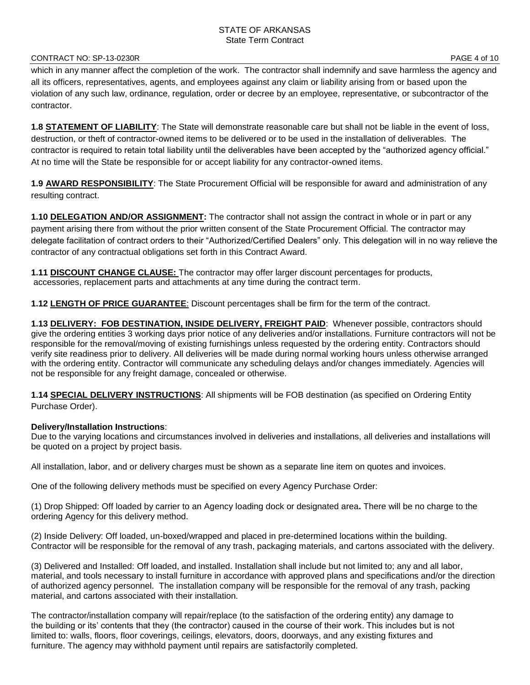#### CONTRACT NO: SP-13-0230R PAGE 4 of 10

which in any manner affect the completion of the work. The contractor shall indemnify and save harmless the agency and all its officers, representatives, agents, and employees against any claim or liability arising from or based upon the violation of any such law, ordinance, regulation, order or decree by an employee, representative, or subcontractor of the contractor.

**1.8 STATEMENT OF LIABILITY**: The State will demonstrate reasonable care but shall not be liable in the event of loss, destruction, or theft of contractor-owned items to be delivered or to be used in the installation of deliverables. The contractor is required to retain total liability until the deliverables have been accepted by the "authorized agency official." At no time will the State be responsible for or accept liability for any contractor-owned items.

**1.9 AWARD RESPONSIBILITY**: The State Procurement Official will be responsible for award and administration of any resulting contract.

**1.10 DELEGATION AND/OR ASSIGNMENT:** The contractor shall not assign the contract in whole or in part or any payment arising there from without the prior written consent of the State Procurement Official. The contractor may delegate facilitation of contract orders to their "Authorized/Certified Dealers" only. This delegation will in no way relieve the contractor of any contractual obligations set forth in this Contract Award.

**1.11 DISCOUNT CHANGE CLAUSE:** The contractor may offer larger discount percentages for products, accessories, replacement parts and attachments at any time during the contract term.

**1.12 LENGTH OF PRICE GUARANTEE**: Discount percentages shall be firm for the term of the contract.

**1.13 DELIVERY: FOB DESTINATION, INSIDE DELIVERY, FREIGHT PAID**: Whenever possible, contractors should give the ordering entities 3 working days prior notice of any deliveries and/or installations. Furniture contractors will not be responsible for the removal/moving of existing furnishings unless requested by the ordering entity. Contractors should verify site readiness prior to delivery. All deliveries will be made during normal working hours unless otherwise arranged with the ordering entity. Contractor will communicate any scheduling delays and/or changes immediately. Agencies will not be responsible for any freight damage, concealed or otherwise.

**1.14 SPECIAL DELIVERY INSTRUCTIONS**: All shipments will be FOB destination (as specified on Ordering Entity Purchase Order).

## **Delivery/Installation Instructions**:

Due to the varying locations and circumstances involved in deliveries and installations, all deliveries and installations will be quoted on a project by project basis.

All installation, labor, and or delivery charges must be shown as a separate line item on quotes and invoices.

One of the following delivery methods must be specified on every Agency Purchase Order:

(1) Drop Shipped: Off loaded by carrier to an Agency loading dock or designated area**.** There will be no charge to the ordering Agency for this delivery method.

(2) Inside Delivery: Off loaded, un-boxed/wrapped and placed in pre-determined locations within the building. Contractor will be responsible for the removal of any trash, packaging materials, and cartons associated with the delivery.

(3) Delivered and Installed: Off loaded, and installed. Installation shall include but not limited to; any and all labor, material, and tools necessary to install furniture in accordance with approved plans and specifications and/or the direction of authorized agency personnel. The installation company will be responsible for the removal of any trash, packing material, and cartons associated with their installation.

The contractor/installation company will repair/replace (to the satisfaction of the ordering entity) any damage to the building or its' contents that they (the contractor) caused in the course of their work. This includes but is not limited to: walls, floors, floor coverings, ceilings, elevators, doors, doorways, and any existing fixtures and furniture. The agency may withhold payment until repairs are satisfactorily completed.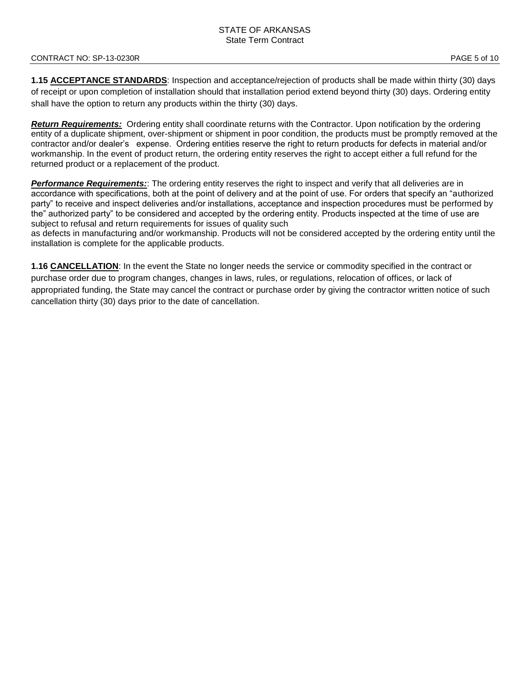#### CONTRACT NO: SP-13-0230R PAGE 5 of 10

**1.15 ACCEPTANCE STANDARDS**: Inspection and acceptance/rejection of products shall be made within thirty (30) days of receipt or upon completion of installation should that installation period extend beyond thirty (30) days. Ordering entity shall have the option to return any products within the thirty (30) days.

*Return Requirements:* Ordering entity shall coordinate returns with the Contractor. Upon notification by the ordering entity of a duplicate shipment, over-shipment or shipment in poor condition, the products must be promptly removed at the contractor and/or dealer's expense. Ordering entities reserve the right to return products for defects in material and/or workmanship. In the event of product return, the ordering entity reserves the right to accept either a full refund for the returned product or a replacement of the product.

*Performance Requirements:*: The ordering entity reserves the right to inspect and verify that all deliveries are in accordance with specifications, both at the point of delivery and at the point of use. For orders that specify an "authorized party" to receive and inspect deliveries and/or installations, acceptance and inspection procedures must be performed by the" authorized party" to be considered and accepted by the ordering entity. Products inspected at the time of use are subject to refusal and return requirements for issues of quality such

as defects in manufacturing and/or workmanship. Products will not be considered accepted by the ordering entity until the installation is complete for the applicable products.

**1.16 CANCELLATION**: In the event the State no longer needs the service or commodity specified in the contract or purchase order due to program changes, changes in laws, rules, or regulations, relocation of offices, or lack of appropriated funding, the State may cancel the contract or purchase order by giving the contractor written notice of such cancellation thirty (30) days prior to the date of cancellation.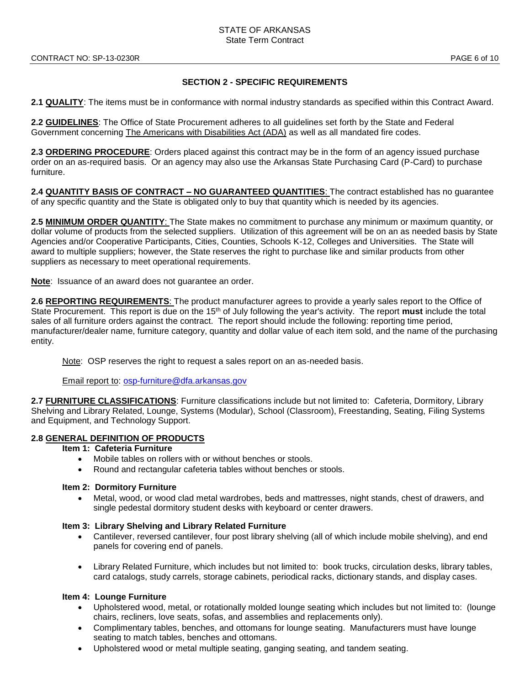## **SECTION 2 - SPECIFIC REQUIREMENTS**

**2.1 QUALITY**: The items must be in conformance with normal industry standards as specified within this Contract Award.

**2.2 GUIDELINES**: The Office of State Procurement adheres to all guidelines set forth by the State and Federal Government concerning The Americans with Disabilities Act (ADA) as well as all mandated fire codes.

**2.3 ORDERING PROCEDURE**: Orders placed against this contract may be in the form of an agency issued purchase order on an as-required basis. Or an agency may also use the Arkansas State Purchasing Card (P-Card) to purchase furniture.

**2.4 QUANTITY BASIS OF CONTRACT – NO GUARANTEED QUANTITIES**: The contract established has no guarantee of any specific quantity and the State is obligated only to buy that quantity which is needed by its agencies.

**2.5 MINIMUM ORDER QUANTITY**: The State makes no commitment to purchase any minimum or maximum quantity, or dollar volume of products from the selected suppliers. Utilization of this agreement will be on an as needed basis by State Agencies and/or Cooperative Participants, Cities, Counties, Schools K-12, Colleges and Universities. The State will award to multiple suppliers; however, the State reserves the right to purchase like and similar products from other suppliers as necessary to meet operational requirements.

**Note**: Issuance of an award does not guarantee an order.

**2.6 REPORTING REQUIREMENTS**: The product manufacturer agrees to provide a yearly sales report to the Office of State Procurement. This report is due on the 15th of July following the year's activity. The report **must** include the total sales of all furniture orders against the contract. The report should include the following: reporting time period, manufacturer/dealer name, furniture category, quantity and dollar value of each item sold, and the name of the purchasing entity.

Note: OSP reserves the right to request a sales report on an as-needed basis.

Email report to: [osp-furniture@dfa.arkansas.gov](mailto:osp-furniture@dfa.arkansas.gov)

**2.7 FURNITURE CLASSIFICATIONS**: Furniture classifications include but not limited to: Cafeteria, Dormitory, Library Shelving and Library Related, Lounge, Systems (Modular), School (Classroom), Freestanding, Seating, Filing Systems and Equipment, and Technology Support.

## **2.8 GENERAL DEFINITION OF PRODUCTS**

## **Item 1: Cafeteria Furniture**

- Mobile tables on rollers with or without benches or stools.
- Round and rectangular cafeteria tables without benches or stools.

#### **Item 2: Dormitory Furniture**

• Metal, wood, or wood clad metal wardrobes, beds and mattresses, night stands, chest of drawers, and single pedestal dormitory student desks with keyboard or center drawers.

#### **Item 3: Library Shelving and Library Related Furniture**

- Cantilever, reversed cantilever, four post library shelving (all of which include mobile shelving), and end panels for covering end of panels.
- Library Related Furniture, which includes but not limited to: book trucks, circulation desks, library tables, card catalogs, study carrels, storage cabinets, periodical racks, dictionary stands, and display cases.

## **Item 4: Lounge Furniture**

- Upholstered wood, metal, or rotationally molded lounge seating which includes but not limited to: (lounge chairs, recliners, love seats, sofas, and assemblies and replacements only).
- Complimentary tables, benches, and ottomans for lounge seating. Manufacturers must have lounge seating to match tables, benches and ottomans.
- Upholstered wood or metal multiple seating, ganging seating, and tandem seating.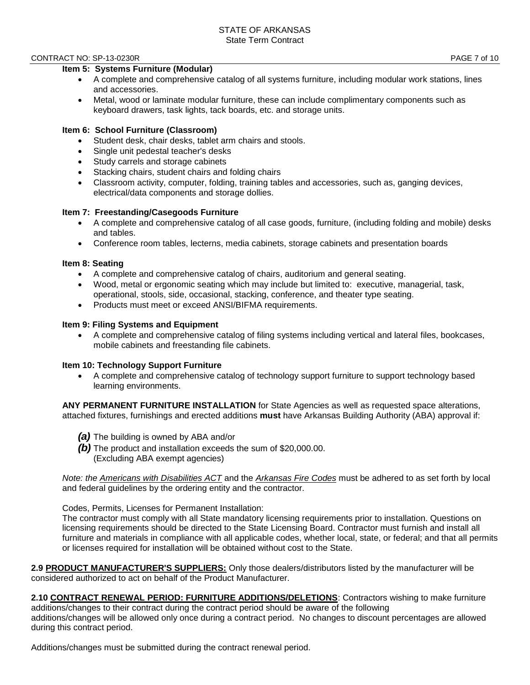#### CONTRACT NO: SP-13-0230R PAGE 7 of 10

## **Item 5: Systems Furniture (Modular)**

- A complete and comprehensive catalog of all systems furniture, including modular work stations, lines and accessories.
- Metal, wood or laminate modular furniture, these can include complimentary components such as keyboard drawers, task lights, tack boards, etc. and storage units.

## **Item 6: School Furniture (Classroom)**

- Student desk, chair desks, tablet arm chairs and stools.
- Single unit pedestal teacher's desks
- Study carrels and storage cabinets
- Stacking chairs, student chairs and folding chairs
- Classroom activity, computer, folding, training tables and accessories, such as, ganging devices, electrical/data components and storage dollies.

## **Item 7: Freestanding/Casegoods Furniture**

- A complete and comprehensive catalog of all case goods, furniture, (including folding and mobile) desks and tables.
- Conference room tables, lecterns, media cabinets, storage cabinets and presentation boards

#### **Item 8: Seating**

- A complete and comprehensive catalog of chairs, auditorium and general seating.
- Wood, metal or ergonomic seating which may include but limited to: executive, managerial, task, operational, stools, side, occasional, stacking, conference, and theater type seating.
- Products must meet or exceed ANSI/BIFMA requirements.

#### **Item 9: Filing Systems and Equipment**

• A complete and comprehensive catalog of filing systems including vertical and lateral files, bookcases, mobile cabinets and freestanding file cabinets.

## **Item 10: Technology Support Furniture**

• A complete and comprehensive catalog of technology support furniture to support technology based learning environments.

**ANY PERMANENT FURNITURE INSTALLATION** for State Agencies as well as requested space alterations, attached fixtures, furnishings and erected additions **must** have Arkansas Building Authority (ABA) approval if:

- *(a)* The building is owned by ABA and/or
- *(b)* The product and installation exceeds the sum of \$20,000.00. (Excluding ABA exempt agencies)

*Note: the Americans with Disabilities ACT* and the *Arkansas Fire Codes* must be adhered to as set forth by local and federal guidelines by the ordering entity and the contractor.

#### Codes, Permits, Licenses for Permanent Installation:

The contractor must comply with all State mandatory licensing requirements prior to installation. Questions on licensing requirements should be directed to the State Licensing Board. Contractor must furnish and install all furniture and materials in compliance with all applicable codes, whether local, state, or federal; and that all permits or licenses required for installation will be obtained without cost to the State.

**2.9 PRODUCT MANUFACTURER'S SUPPLIERS:** Only those dealers/distributors listed by the manufacturer will be considered authorized to act on behalf of the Product Manufacturer.

**2.10 CONTRACT RENEWAL PERIOD: FURNITURE ADDITIONS/DELETIONS**: Contractors wishing to make furniture additions/changes to their contract during the contract period should be aware of the following additions/changes will be allowed only once during a contract period. No changes to discount percentages are allowed during this contract period.

Additions/changes must be submitted during the contract renewal period.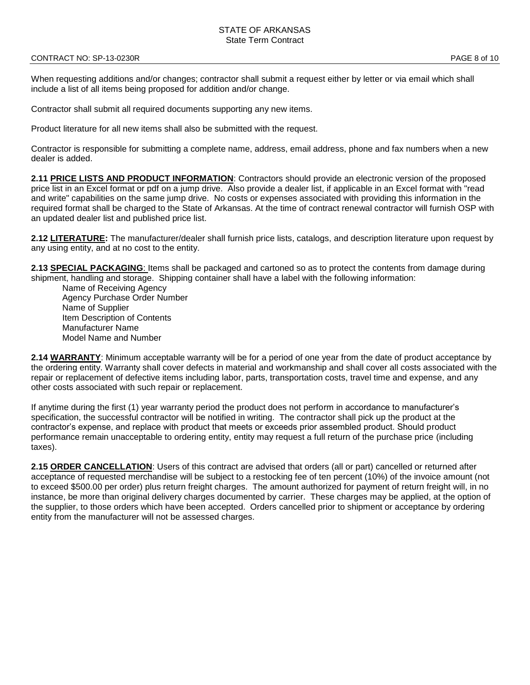#### CONTRACT NO: SP-13-0230R PAGE 8 of 10

When requesting additions and/or changes; contractor shall submit a request either by letter or via email which shall include a list of all items being proposed for addition and/or change.

Contractor shall submit all required documents supporting any new items.

Product literature for all new items shall also be submitted with the request.

Contractor is responsible for submitting a complete name, address, email address, phone and fax numbers when a new dealer is added.

**2.11 PRICE LISTS AND PRODUCT INFORMATION**: Contractors should provide an electronic version of the proposed price list in an Excel format or pdf on a jump drive. Also provide a dealer list, if applicable in an Excel format with "read and write" capabilities on the same jump drive. No costs or expenses associated with providing this information in the required format shall be charged to the State of Arkansas. At the time of contract renewal contractor will furnish OSP with an updated dealer list and published price list.

**2.12 LITERATURE:** The manufacturer/dealer shall furnish price lists, catalogs, and description literature upon request by any using entity, and at no cost to the entity.

**2.13 SPECIAL PACKAGING**: Items shall be packaged and cartoned so as to protect the contents from damage during shipment, handling and storage. Shipping container shall have a label with the following information:

Name of Receiving Agency Agency Purchase Order Number Name of Supplier Item Description of Contents Manufacturer Name Model Name and Number

**2.14 WARRANTY**: Minimum acceptable warranty will be for a period of one year from the date of product acceptance by the ordering entity. Warranty shall cover defects in material and workmanship and shall cover all costs associated with the repair or replacement of defective items including labor, parts, transportation costs, travel time and expense, and any other costs associated with such repair or replacement.

If anytime during the first (1) year warranty period the product does not perform in accordance to manufacturer's specification, the successful contractor will be notified in writing. The contractor shall pick up the product at the contractor's expense, and replace with product that meets or exceeds prior assembled product. Should product performance remain unacceptable to ordering entity, entity may request a full return of the purchase price (including taxes).

**2.15 ORDER CANCELLATION**: Users of this contract are advised that orders (all or part) cancelled or returned after acceptance of requested merchandise will be subject to a restocking fee of ten percent (10%) of the invoice amount (not to exceed \$500.00 per order) plus return freight charges. The amount authorized for payment of return freight will, in no instance, be more than original delivery charges documented by carrier. These charges may be applied, at the option of the supplier, to those orders which have been accepted. Orders cancelled prior to shipment or acceptance by ordering entity from the manufacturer will not be assessed charges.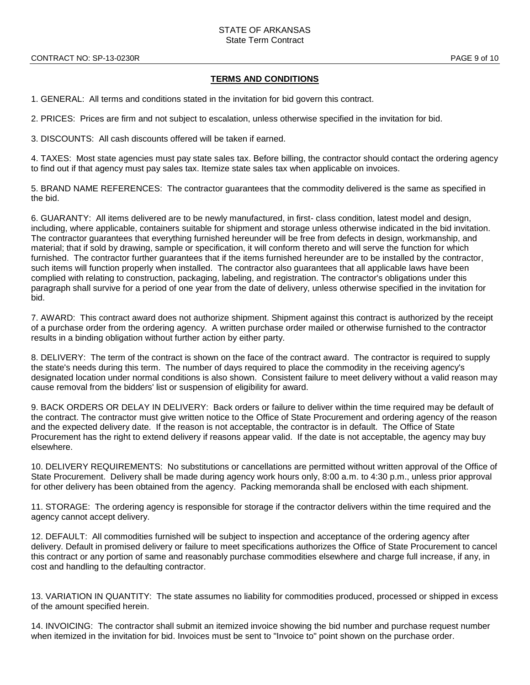## **TERMS AND CONDITIONS**

1. GENERAL: All terms and conditions stated in the invitation for bid govern this contract.

2. PRICES: Prices are firm and not subject to escalation, unless otherwise specified in the invitation for bid.

3. DISCOUNTS: All cash discounts offered will be taken if earned.

4. TAXES: Most state agencies must pay state sales tax. Before billing, the contractor should contact the ordering agency to find out if that agency must pay sales tax. Itemize state sales tax when applicable on invoices.

5. BRAND NAME REFERENCES: The contractor guarantees that the commodity delivered is the same as specified in the bid.

6. GUARANTY: All items delivered are to be newly manufactured, in first- class condition, latest model and design, including, where applicable, containers suitable for shipment and storage unless otherwise indicated in the bid invitation. The contractor guarantees that everything furnished hereunder will be free from defects in design, workmanship, and material; that if sold by drawing, sample or specification, it will conform thereto and will serve the function for which furnished. The contractor further guarantees that if the items furnished hereunder are to be installed by the contractor, such items will function properly when installed. The contractor also guarantees that all applicable laws have been complied with relating to construction, packaging, labeling, and registration. The contractor's obligations under this paragraph shall survive for a period of one year from the date of delivery, unless otherwise specified in the invitation for bid.

7. AWARD: This contract award does not authorize shipment. Shipment against this contract is authorized by the receipt of a purchase order from the ordering agency. A written purchase order mailed or otherwise furnished to the contractor results in a binding obligation without further action by either party.

8. DELIVERY: The term of the contract is shown on the face of the contract award. The contractor is required to supply the state's needs during this term. The number of days required to place the commodity in the receiving agency's designated location under normal conditions is also shown. Consistent failure to meet delivery without a valid reason may cause removal from the bidders' list or suspension of eligibility for award.

9. BACK ORDERS OR DELAY IN DELIVERY: Back orders or failure to deliver within the time required may be default of the contract. The contractor must give written notice to the Office of State Procurement and ordering agency of the reason and the expected delivery date. If the reason is not acceptable, the contractor is in default. The Office of State Procurement has the right to extend delivery if reasons appear valid. If the date is not acceptable, the agency may buy elsewhere.

10. DELIVERY REQUIREMENTS: No substitutions or cancellations are permitted without written approval of the Office of State Procurement. Delivery shall be made during agency work hours only, 8:00 a.m. to 4:30 p.m., unless prior approval for other delivery has been obtained from the agency. Packing memoranda shall be enclosed with each shipment.

11. STORAGE: The ordering agency is responsible for storage if the contractor delivers within the time required and the agency cannot accept delivery.

12. DEFAULT: All commodities furnished will be subject to inspection and acceptance of the ordering agency after delivery. Default in promised delivery or failure to meet specifications authorizes the Office of State Procurement to cancel this contract or any portion of same and reasonably purchase commodities elsewhere and charge full increase, if any, in cost and handling to the defaulting contractor.

13. VARIATION IN QUANTITY: The state assumes no liability for commodities produced, processed or shipped in excess of the amount specified herein.

14. INVOICING: The contractor shall submit an itemized invoice showing the bid number and purchase request number when itemized in the invitation for bid. Invoices must be sent to "Invoice to" point shown on the purchase order.